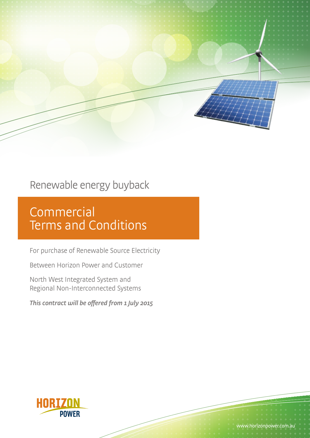## Renewable energy buyback

# **Commercial** Terms and Conditions

For purchase of Renewable Source Electricity

Between Horizon Power and Customer

North West Integrated System and Regional Non-Interconnected Systems

This contract will be offered from 1 July 2015

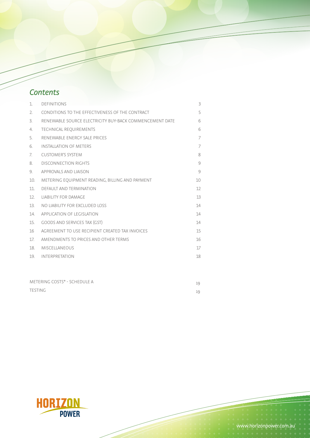## **Contents**

| 1.  | <b>DEFINITIONS</b>                                      | 3  |
|-----|---------------------------------------------------------|----|
| 2.  | CONDITIONS TO THE EFFECTIVENESS OF THE CONTRACT         | 5  |
| 3.  | RENEWABLE SOURCE ELECTRICITY BUY-BACK COMMENCEMENT DATE | 6  |
| 4.  | <b>TECHNICAL REQUIREMENTS</b>                           | 6  |
| 5.  | RENEWABLE ENFRGY SALE PRICES                            | 7  |
| 6.  | <b>INSTALLATION OF METERS</b>                           | 7  |
| 7.  | <b>CUSTOMER'S SYSTEM</b>                                | 8  |
| 8.  | <b>DISCONNECTION RIGHTS</b>                             | 9  |
| 9.  | APPROVALS AND LIAISON                                   | 9  |
| 10. | METERING EQUIPMENT READING, BILLING AND PAYMENT         | 10 |
| 11. | DEFAULT AND TERMINATION                                 | 12 |
| 12. | <b>LIABILITY FOR DAMAGE</b>                             | 13 |
| 13. | NO LIABILITY FOR EXCLUDED LOSS                          | 14 |
| 14. | APPLICATION OF LEGISLATION                              | 14 |
| 15. | <b>GOODS AND SERVICES TAX (GST)</b>                     | 14 |
| 16  | AGREEMENT TO USE RECIPIENT CREATED TAX INVOICES         | 15 |
| 17. | AMENDMENTS TO PRICES AND OTHER TERMS                    | 16 |
| 18. | <b>MISCELLANEOUS</b>                                    | 17 |
| 19. | <b>INTERPRETATION</b>                                   | 18 |
|     |                                                         |    |

| METERING COSTS* - SCHEDULE A | 19 |
|------------------------------|----|
| TESTING                      | 19 |

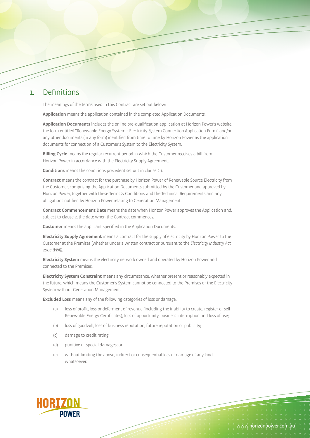#### 1. Definitions

The meanings of the terms used in this Contract are set out below:

**Application** means the application contained in the completed Application Documents.

**Application Documents** includes the online pre-qualification application at Horizon Power's website, the form entitled "Renewable Energy System - Electricity System Connection Application Form" and/or any other documents (in any form) identified from time to time by Horizon Power as the application documents for connection of a Customer's System to the Electricity System.

**Billing Cycle** means the regular recurrent period in which the Customer receives a bill from Horizon Power in accordance with the Electricity Supply Agreement.

**Conditions** means the conditions precedent set out in clause 2.1.

**Contract** means the contract for the purchase by Horizon Power of Renewable Source Electricity from the Customer, comprising the Application Documents submitted by the Customer and approved by Horizon Power, together with these Terms & Conditions and the Technical Requirements and any obligations notified by Horizon Power relating to Generation Management.

**Contract Commencement Date** means the date when Horizon Power approves the Application and, subject to clause 2, the date when the Contract commences.

**Customer** means the applicant specified in the Application Documents.

**Electricity Supply Agreement** means a contract for the supply of electricity by Horizon Power to the Customer at the Premises (whether under a written contract or pursuant to the Electricity Industry Act 2004 (WA)).

**Electricity System** means the electricity network owned and operated by Horizon Power and connected to the Premises.

**Electricity System Constraint** means any circumstance, whether present or reasonably expected in the future, which means the Customer's System cannot be connected to the Premises or the Electricity System without Generation Management.

**Excluded Loss** means any of the following categories of loss or damage:

- (a) loss of profit, loss or deferment of revenue (including the inability to create, register or sell Renewable Energy Certificates), loss of opportunity, business interruption and loss of use;
- (b) loss of goodwill, loss of business reputation, future reputation or publicity;
- (c) damage to credit rating;
- (d) punitive or special damages; or
- (e) without limiting the above, indirect or consequential loss or damage of any kind whatsoever.

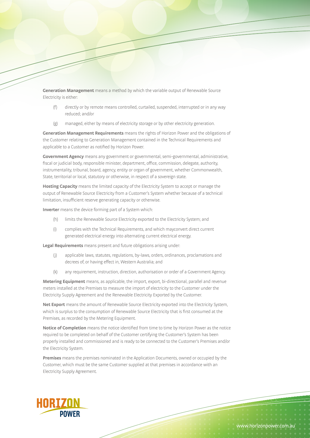**Generation Management** means a method by which the variable output of Renewable Source Electricity is either:

- (f) directly or by remote means controlled, curtailed, suspended, interrupted or in any way reduced; and/or
- (g) managed, either by means of electricity storage or by other electricity generation.

**Generation Management Requirements** means the rights of Horizon Power and the obligations of the Customer relating to Generation Management contained in the Technical Requirements and applicable to a Customer as notified by Horizon Power.

**Government Agency** means any government or governmental, semi-governmental, administrative, fiscal or judicial body, responsible minister, department, office, commission, delegate, authority, instrumentality, tribunal, board, agency, entity or organ of government, whether Commonwealth, State, territorial or local, statutory or otherwise, in respect of a sovereign state.

**Hosting Capacity** means the limited capacity of the Electricity System to accept or manage the output of Renewable Source Electricity from a Customer's System whether because of a technical limitation, insufficient reserve generating capacity or otherwise.

**Inverter** means the device forming part of a System which:

- (h) limits the Renewable Source Electricity exported to the Electricity System; and
- (i) complies with the Technical Requirements, and which mayconvert direct current generated electrical energy into alternating current electrical energy.

**Legal Requirements** means present and future obligations arising under:

- (j) applicable laws, statutes, regulations, by-laws, orders, ordinances, proclamations and decrees of, or having effect in, Western Australia; and
- (k) any requirement, instruction, direction, authorisation or order of a Government Agency.

**Metering Equipment** means, as applicable, the import, export, bi-directional, parallel and revenue meters installed at the Premises to measure the import of electricity to the Customer under the Electricity Supply Agreement and the Renewable Electricity Exported by the Customer.

**Net Export** means the amount of Renewable Source Electricity exported into the Electricity System, which is surplus to the consumption of Renewable Source Electricity that is first consumed at the Premises, as recorded by the Metering Equipment.

**Notice of Completion** means the notice identified from time to time by Horizon Power as the notice required to be completed on behalf of the Customer certifying the Customer's System has been properly installed and commissioned and is ready to be connected to the Customer's Premises and/or the Electricity System.

**Premises** means the premises nominated in the Application Documents, owned or occupied by the Customer, which must be the same Customer supplied at that premises in accordance with an Electricity Supply Agreement.

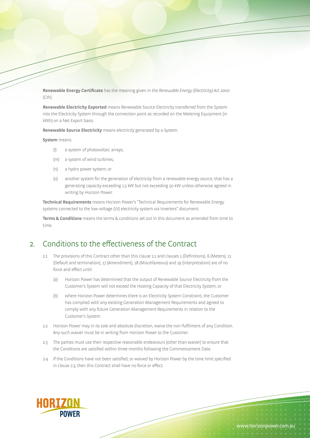**Renewable Energy Certificate** has the meaning given in the Renewable Energy (Electricity) Act 2000 (Cth).

**Renewable Electricity Exported** means Renewable Source Electricity transferred from the System into the Electricity System through the connection point as recorded on the Metering Equipment (in kWh) on a Net Export basis.

**Renewable Source Electricity** means electricity generated by a System.

**System** means:

- (l) a system of photovoltaic arrays;
- (m) a system of wind turbines;
- (n) a hydro power system; or
- (o) another system for the generation of electricity from a renewable energy source, that has a generating capacity exceeding 1.5 kW but not exceeding 50 kW unless otherwise agreed in writing by Horizon Power.

**Technical Requirements** means Horizon Power's "Technical Requirements for Renewable Energy systems connected to the low voltage (LV) electricity system via Inverters" document.

**Terms & Conditions** means the terms & conditions set out in this document as amended from time to time.

#### 2. Conditions to the effectiveness of the Contract

- 2.1 The provisions of this Contract other than this clause 2.1 and clauses 1 (Definitions), 6 (Meters), 11 (Default and termination), 17 (Amendment), 18 (Miscellaneous) and 19 (Interpretation) are of no force and effect until:
	- (a) Horizon Power has determined that the output of Renewable Source Electricity from the Customer's System will not exceed the Hosting Capacity of that Electricity System; or
	- (b) where Horizon Power determines there is an Electricity System Constraint, the Customer has complied with any existing Generation Management Requirements and agreed to comply with any future Generation Management Requirements in relation to the Customer's System.
- 2.2 Horizon Power may in its sole and absolute discretion, waive the non-fulfilment of any Condition. Any such waiver must be in writing from Horizon Power to the Customer.
- 2.3 The parties must use their respective reasonable endeavours (other than waiver) to ensure that the Conditions are satisfied within three months following the Commencement Date.
- 2.4 If the Conditions have not been satisfied, or waived by Horizon Power by the time limit specified in clause 2.3, then this Contract shall have no force or effect.

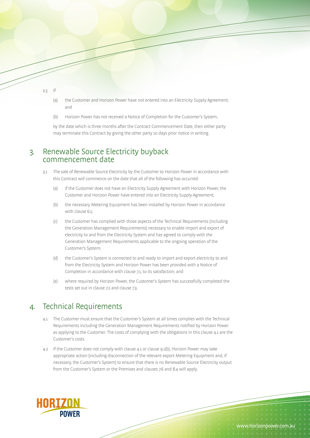

- (a) the Customer and Horizon Power have not entered into an Electricity Supply Agreement; and
- (b) Horizon Power has not received a Notice of Completion for the Customer's System,

by the date which is three months after the Contract Commencement Date, then either party may terminate this Contract by giving the other party 10 days prior notice in writing.

#### 3. Renewable Source Electricity buyback commencement date

- 3.1 The sale of Renewable Source Electricity by the Customer to Horizon Power in accordance with this Contract will commence on the date that all of the following has occurred:
	- (a) if the Customer does not have an Electricity Supply Agreement with Horizon Power, the Customer and Horizon Power have entered into an Electricity Supply Agreement;
	- (b) the necessary Metering Equipment has been installed by Horizon Power in accordance with clause 6.1;
	- (c) the Customer has complied with those aspects of the Technical Requirements (including the Generation Management Requirements) necessary to enable import and export of electricity to and from the Electricity System and has agreed to comply with the Generation Management Requirements applicable to the ongoing operation of the Customer's System;
	- (d) the Customer's System is connected to and ready to import and export electricity to and from the Electricity System and Horizon Power has been provided with a Notice of Completion in accordance with clause 7.1, to its satisfaction; and
	- (e) where required by Horizon Power, the Customer's System has successfully completed the tests set out in clause 7.2 and clause 7.3.

#### 4. Technical Requirements

- 4.1 The Customer must ensure that the Customer's System at all times complies with the Technical Requirements including the Generation Management Requirements notified by Horizon Power as applying to the Customer. The costs of complying with the obligations in this clause 4.1 are the Customer's costs.
- 4.2 If the Customer does not comply with clause 4.1 or clause 9.1(b), Horizon Power may take appropriate action (including disconnection of the relevant export Metering Equipment and, if necessary, the Customer's System) to ensure that there is no Renewable Source Electricity output from the Customer's System or the Premises and clauses 7.6 and 8.4 will apply.

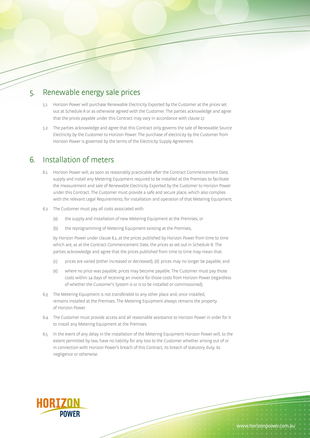#### 5. Renewable energy sale prices

- 5.1 Horizon Power will purchase Renewable Electricity Exported by the Customer at the prices set out at Schedule A or as otherwise agreed with the Customer. The parties acknowledge and agree that the prices payable under this Contract may vary in accordance with clause 17.
- 5.2 The parties acknowledge and agree that this Contract only governs the sale of Renewable Source Electricity by the Customer to Horizon Power. The purchase of electricity by the Customer from Horizon Power is governed by the terms of the Electricity Supply Agreement.

#### 6. Installation of meters

- 6.1 Horizon Power will, as soon as reasonably practicable after the Contract Commencement Date, supply and install any Metering Equipment required to be installed at the Premises to facilitate the measurement and sale of Renewable Electricity Exported by the Customer to Horizon Power under this Contract. The Customer must provide a safe and secure place, which also complies with the relevant Legal Requirements, for installation and operation of that Metering Equipment.
- 6.2 The Customer must pay all costs associated with:
	- (a) the supply and installation of new Metering Equipment at the Premises; or
	- (b) the reprogramming of Metering Equipment existing at the Premises,

by Horizon Power under clause 6.1, at the prices published by Horizon Power from time to time which are, as at the Contract Commencement Date, the prices as set out in Schedule B. The parties acknowledge and agree that the prices published from time to time may mean that:

- (c) prices are varied (either increased or decreased); (d) prices may no longer be payable; and
- (e) where no price was payable, prices may become payable. The Customer must pay those costs within 14 days of receiving an invoice for those costs from Horizon Power (regardless of whether the Customer's System is or is to be installed or commissioned).
- 6.3 The Metering Equipment is not transferable to any other place and, once installed, remains installed at the Premises. The Metering Equipment always remains the property of Horizon Power.
- 6.4 The Customer must provide access and all reasonable assistance to Horizon Power in order for it to install any Metering Equipment at the Premises.
- 6.5 In the event of any delay in the installation of the Metering Equipment Horizon Power will, to the extent permitted by law, have no liability for any loss to the Customer whether arising out of or in connection with Horizon Power's breach of this Contract, its breach of statutory duty, its negligence or otherwise.

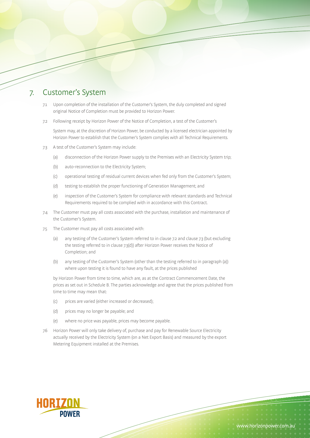#### 7. Customer's System

- 7.1 Upon completion of the installation of the Customer's System, the duly completed and signed original Notice of Completion must be provided to Horizon Power.
- 7.2 Following receipt by Horizon Power of the Notice of Completion, a test of the Customer's

System may, at the discretion of Horizon Power, be conducted by a licensed electrician appointed by Horizon Power to establish that the Customer's System complies with all Technical Requirements.

- 7.3 A test of the Customer's System may include:
	- (a) disconnection of the Horizon Power supply to the Premises with an Electricity System trip;
	- (b) auto-reconnection to the Electricity System;
	- (c) operational testing of residual current devices when fed only from the Customer's System;
	- (d) testing to establish the proper functioning of Generation Management; and
	- (e) inspection of the Customer's System for compliance with relevant standards and Technical Requirements required to be complied with in accordance with this Contract.
- 7.4 The Customer must pay all costs associated with the purchase, installation and maintenance of the Customer's System.
- 7.5 The Customer must pay all costs associated with:
	- (a) any testing of the Customer's System referred to in clause 7.2 and clause 7.3 (but excluding the testing referred to in clause 7.3(d)) after Horizon Power receives the Notice of Completion; and
	- (b) any testing of the Customer's System (other than the testing referred to in paragraph (a)) where upon testing it is found to have any fault, at the prices published

by Horizon Power from time to time, which are, as at the Contract Commencement Date, the prices as set out in Schedule B. The parties acknowledge and agree that the prices published from time to time may mean that:

- (c) prices are varied (either increased or decreased);
- (d) prices may no longer be payable; and
- (e) where no price was payable, prices may become payable.
- 7.6 Horizon Power will only take delivery of, purchase and pay for Renewable Source Electricity actually received by the Electricity System (on a Net Export Basis) and measured by the export Metering Equipment installed at the Premises.

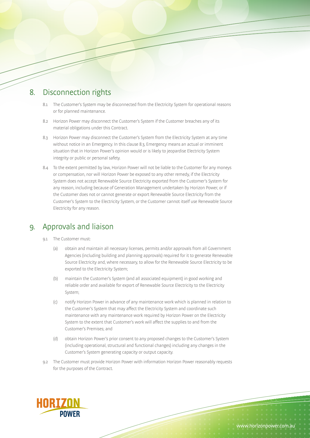## 8. Disconnection rights

- 8.1 The Customer's System may be disconnected from the Electricity System for operational reasons or for planned maintenance.
- 8.2 Horizon Power may disconnect the Customer's System if the Customer breaches any of its material obligations under this Contract.
- 8.3 Horizon Power may disconnect the Customer's System from the Electricity System at any time without notice in an Emergency. In this clause 8.3, Emergency means an actual or imminent situation that in Horizon Power's opinion would or is likely to jeopardise Electricity System integrity or public or personal safety.
- 8.4 To the extent permitted by law, Horizon Power will not be liable to the Customer for any moneys or compensation, nor will Horizon Power be exposed to any other remedy, if the Electricity System does not accept Renewable Source Electricity exported from the Customer's System for any reason, including because of Generation Management undertaken by Horizon Power, or if the Customer does not or cannot generate or export Renewable Source Electricity from the Customer's System to the Electricity System, or the Customer cannot itself use Renewable Source Electricity for any reason.

#### 9. Approvals and liaison

- 9.1 The Customer must:
	- (a) obtain and maintain all necessary licenses, permits and/or approvals from all Government Agencies (including building and planning approvals) required for it to generate Renewable Source Electricity and, where necessary, to allow for the Renewable Source Electricity to be exported to the Electricity System;
	- (b) maintain the Customer's System (and all associated equipment) in good working and reliable order and available for export of Renewable Source Electricity to the Electricity System;
	- (c) notify Horizon Power in advance of any maintenance work which is planned in relation to the Customer's System that may affect the Electricity System and coordinate such maintenance with any maintenance work required by Horizon Power on the Electricity System to the extent that Customer's work will affect the supplies to and from the Customer's Premises; and
	- (d) obtain Horizon Power's prior consent to any proposed changes to the Customer's System (including operational, structural and functional changes) including any changes in the Customer's System generating capacity or output capacity.
- 9.2 The Customer must provide Horizon Power with information Horizon Power reasonably requests for the purposes of the Contract.

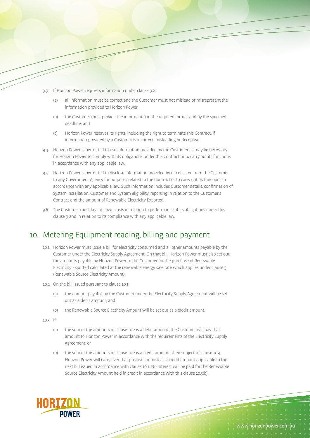- 9.3 If Horizon Power requests information under clause 9.2:
	- (a) all information must be correct and the Customer must not mislead or misrepresent the information provided to Horizon Power;
	- (b) the Customer must provide the information in the required format and by the specified deadline; and
	- (c) Horizon Power reserves its rights, including the right to terminate this Contract, if information provided by a Customer is incorrect, misleading or deceptive.
- 9.4 Horizon Power is permitted to use information provided by the Customer as may be necessary for Horizon Power to comply with its obligations under this Contract or to carry out its functions in accordance with any applicable law.
- 9.5 Horizon Power is permitted to disclose information provided by or collected from the Customer to any Government Agency for purposes related to the Contract or to carry out its functions in accordance with any applicable law. Such information includes Customer details, confirmation of System installation, Customer and System eligibility, reporting in relation to the Customer's Contract and the amount of Renewable Electricity Exported.
- 9.6 The Customer must bear its own costs in relation to performance of its obligations under this clause 9 and in relation to its compliance with any applicable law.

## 10. Metering Equipment reading, billing and payment

- 10.1 Horizon Power must issue a bill for electricity consumed and all other amounts payable by the Customer under the Electricity Supply Agreement. On that bill, Horizon Power must also set out the amounts payable by Horizon Power to the Customer for the purchase of Renewable Electricity Exported calculated at the renewable energy sale rate which applies under clause 5 (Renewable Source Electricity Amount).
- 10.2 On the bill issued pursuant to clause 10.1:
	- (a) the amount payable by the Customer under the Electricity Supply Agreement will be set out as a debit amount; and
	- (b) the Renewable Source Electricity Amount will be set out as a credit amount.
- 10.3 If:
	- (a) the sum of the amounts in clause 10.2 is a debit amount, the Customer will pay that amount to Horizon Power in accordance with the requirements of the Electricity Supply Agreement; or
	- (b) the sum of the amounts in clause 10.2 is a credit amount, then subject to clause 10.4, Horizon Power will carry over that positive amount as a credit amount applicable to the next bill issued in accordance with clause 10.1. No interest will be paid for the Renewable Source Electricity Amount held in credit in accordance with this clause 10.3(b).

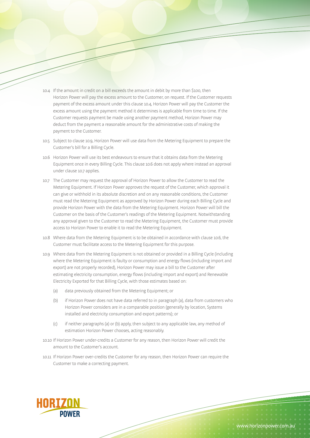- 10.4 If the amount in credit on a bill exceeds the amount in debit by more than \$100, then Horizon Power will pay the excess amount to the Customer, on request. If the Customer requests payment of the excess amount under this clause 10.4, Horizon Power will pay the Customer the excess amount using the payment method it determines is applicable from time to time. If the Customer requests payment be made using another payment method, Horizon Power may deduct from the payment a reasonable amount for the administrative costs of making the payment to the Customer.
- 10.5 Subject to clause 10.9, Horizon Power will use data from the Metering Equipment to prepare the Customer's bill for a Billing Cycle.
- 10.6 Horizon Power will use its best endeavours to ensure that it obtains data from the Metering Equipment once in every Billing Cycle. This clause 10.6 does not apply where instead an approval under clause 10.7 applies.
- 10.7 The Customer may request the approval of Horizon Power to allow the Customer to read the Metering Equipment. If Horizon Power approves the request of the Customer, which approval it can give or withhold in its absolute discretion and on any reasonable conditions, the Customer must read the Metering Equipment as approved by Horizon Power during each Billing Cycle and provide Horizon Power with the data from the Metering Equipment. Horizon Power will bill the Customer on the basis of the Customer's readings of the Metering Equipment. Notwithstanding any approval given to the Customer to read the Metering Equipment, the Customer must provide access to Horizon Power to enable it to read the Metering Equipment.
- 10.8 Where data from the Metering Equipment is to be obtained in accordance with clause 10.6, the Customer must facilitate access to the Metering Equipment for this purpose.
- 10.9 Where data from the Metering Equipment is not obtained or provided in a Billing Cycle (including where the Metering Equipment is faulty or consumption and energy flows (including import and export) are not properly recorded), Horizon Power may issue a bill to the Customer after estimating electricity consumption, energy flows (including import and export) and Renewable Electricity Exported for that Billing Cycle, with those estimates based on:
	- (a) data previously obtained from the Metering Equipment; or
	- (b) if Horizon Power does not have data referred to in paragraph (a), data from customers who Horizon Power considers are in a comparable position (generally by location, Systems installed and electricity consumption and export patterns); or
	- (c) if neither paragraphs (a) or (b) apply, then subject to any applicable law, any method of estimation Horizon Power chooses, acting reasonably.
- 10.10 If Horizon Power under-credits a Customer for any reason, then Horizon Power will credit the amount to the Customer's account.
- 10.11 If Horizon Power over-credits the Customer for any reason, then Horizon Power can require the Customer to make a correcting payment.

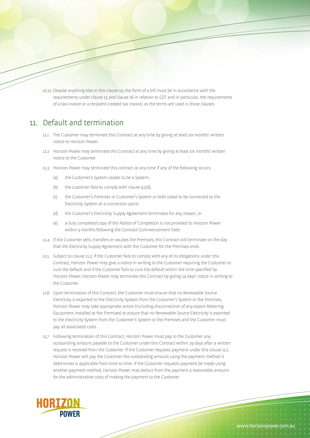10.12 Despite anything else in this clause 10, the form of a bill must be in accordance with the requirements under clause 15 and clause 16 in relation to GST and in particular, the requirements of a tax invoice or a recipient created tax invoice, as the terms are used in those clauses.

#### 11. Default and termination

- 11.1 The Customer may terminate this Contract at any time by giving at least six months' written notice to Horizon Power.
- 11.2 Horizon Power may terminate this Contract at any time by giving at least six months' written notice to the Customer.
- 11.3 Horizon Power may terminate this contract at any time if any of the following occurs:
	- (a) the Customer's System ceases to be a System;
	- (b) the customer fails to comply with clause  $9.1(d)$ ;
	- (c) the Customer's Premises or Customer's System or both cease to be connected to the Electricity System at a connection point;
	- (d) the Customer's Electricity Supply Agreement terminates for any reason; or
	- (e) a duly completed copy of the Notice of Completion is not provided to Horizon Power within 3 months following the Contract Commencement Date.
- 11.4 If the Customer sells, transfers or vacates the Premises, this Contract will terminate on the day that the Electricity Supply Agreement with the Customer for the Premises ends.
- 11.5 Subject to clause 11.2, if the Customer fails to comply with any of its obligations under this Contract, Horizon Power may give a notice in writing to the Customer requiring the Customer to cure the default and if the Customer fails to cure the default within the time specified by Horizon Power, Horizon Power may terminate this Contract by giving 14 days' notice in writing to the Customer.
- 11.6 Upon termination of this Contract, the Customer must ensure that no Renewable Source Electricity is exported to the Electricity System from the Customer's System or the Premises. Horizon Power may take appropriate action (including disconnection of any export Metering Equipment installed at the Premises) to ensure that no Renewable Source Electricity is exported to the Electricity System from the Customer's System or the Premises and the Customer must pay all associated costs.
- 11.7 Following termination of this Contract, Horizon Power must pay to the Customer any outstanding amount payable to the Customer under this Contract within 29 days after a written request is received from the Customer. If the Customer requests payment under this clause 11.7, Horizon Power will pay the Customer the outstanding amount using the payment method it determines is applicable from time to time. If the Customer requests payment be made using another payment method, Horizon Power may deduct from the payment a reasonable amount for the administrative costs of making the payment to the Customer.

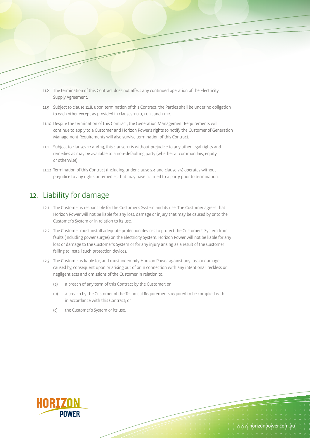- 11.8 The termination of this Contract does not affect any continued operation of the Electricity Supply Agreement.
- 11.9 Subject to clause 11.8, upon termination of this Contract, the Parties shall be under no obligation to each other except as provided in clauses 11.10, 11.11, and 11.12.
- 11.10 Despite the termination of this Contract, the Generation Management Requirements will continue to apply to a Customer and Horizon Power's rights to notify the Customer of Generation Management Requirements will also survive termination of this Contract.
- 11.11 Subject to clauses 12 and 13, this clause 11 is without prejudice to any other legal rights and remedies as may be available to a non-defaulting party (whether at common law, equity or otherwise).
- 11.12 Termination of this Contract (including under clause 2.4 and clause 2.5) operates without prejudice to any rights or remedies that may have accrued to a party prior to termination.

#### 12. Liability for damage

- 12.1 The Customer is responsible for the Customer's System and its use. The Customer agrees that Horizon Power will not be liable for any loss, damage or injury that may be caused by or to the Customer's System or in relation to its use.
- 12.2 The Customer must install adequate protection devices to protect the Customer's System from faults (including power surges) on the Electricity System. Horizon Power will not be liable for any loss or damage to the Customer's System or for any injury arising as a result of the Customer failing to install such protection devices.
- 12.3 The Customer is liable for, and must indemnify Horizon Power against any loss or damage caused by, consequent upon or arising out of or in connection with any intentional, reckless or negligent acts and omissions of the Customer in relation to:
	- (a) a breach of any term of this Contract by the Customer; or
	- (b) a breach by the Customer of the Technical Requirements required to be complied with in accordance with this Contract; or
	- (c) the Customer's System or its use.

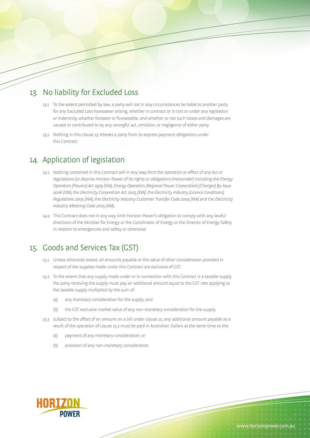## 13. No liability for Excluded Loss

- 13.1 To the extent permitted by law, a party will not in any circumstances be liable to another party for any Excluded Loss howsoever arising, whether in contract or in tort or under any legislation or indemnity, whether foreseen or foreseeable, and whether or not such losses and damages are caused or contributed to by any wrongful act, omission, or negligence of either party.
- 13.2 Nothing in this clause 13 relieves a party from its express payment obligations under this Contract.

#### 14. Application of legislation

- 14.1 Nothing contained in this Contract will in any way limit the operation or effect of any Act or regulations (or deprive Horizon Power of its rights or obligations thereunder) including the Energy Operators (Powers) Act 1979 (WA), Energy Operators (Regional Power Corporation) (Charges) By-laws 2006 (WA), the Electricity Corporation Act 2005 (WA), the Electricity Industry (Licence Conditions) Regulations 2005 (WA), the Electricity Industry Customer Transfer Code 2004 (WA) and the Electricity Industry Metering Code 2005 (WA).
- 14.2 This Contract does not in any way limit Horizon Power's obligation to comply with any lawful directions of the Minister for Energy or the Coordinator of Energy or the Director of Energy Safety in relation to emergencies and safety or otherwise.

## 15. Goods and Services Tax (GST)

- 15.1 Unless otherwise stated, all amounts payable or the value of other consideration provided in respect of the supplies made under this Contract are exclusive of GST.
- 15.2 To the extent that any supply made under or in connection with this Contract is a taxable supply the party receiving the supply must pay an additional amount equal to the GST rate applying to the taxable supply multiplied by the sum of:
	- (a) any monetary consideration for the supply; and
	- (b) the GST exclusive market value of any non-monetary consideration for the supply.
- 15.3 Subject to the offset of an amount on a bill under clause 10, any additional amount payable as a result of the operation of clause 15.2 must be paid in Australian Dollars at the same time as the:
	- (a) payment of any monetary consideration; or
	- (b) provision of any non-monetary consideration.

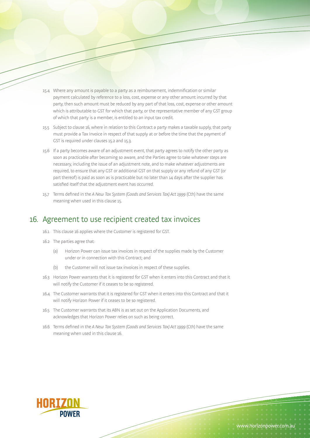- 15.4 Where any amount is payable to a party as a reimbursement, indemnification or similar payment calculated by reference to a loss, cost, expense or any other amount incurred by that party, then such amount must be reduced by any part of that loss, cost, expense or other amount which is attributable to GST for which that party, or the representative member of any GST group of which that party is a member, is entitled to an input tax credit.
- 15.5 Subject to clause 16, where in relation to this Contract a party makes a taxable supply, that party must provide a Tax Invoice in respect of that supply at or before the time that the payment of GST is required under clauses 15.2 and 15.3.
- 15.6 If a party becomes aware of an adjustment event, that party agrees to notify the other party as soon as practicable after becoming so aware, and the Parties agree to take whatever steps are necessary, including the issue of an adjustment note, and to make whatever adjustments are required, to ensure that any GST or additional GST on that supply or any refund of any GST (or part thereof) is paid as soon as is practicable but no later than 14 days after the supplier has satisfied itself that the adjustment event has occurred.
- 15.7 Terms defined in the A New Tax System (Goods and Services Tax) Act 1999 (Cth) have the same meaning when used in this clause 15.

#### 16. Agreement to use recipient created tax invoices

- 16.1 This clause 16 applies where the Customer is registered for GST.
- 16.2 The parties agree that:
	- (a) Horizon Power can issue tax invoices in respect of the supplies made by the Customer under or in connection with this Contract; and
	- (b) the Customer will not issue tax invoices in respect of these supplies.
- 16.3 Horizon Power warrants that it is registered for GST when it enters into this Contract and that it will notify the Customer if it ceases to be so registered.
- 16.4 The Customer warrants that it is registered for GST when it enters into this Contract and that it will notify Horizon Power if it ceases to be so registered.
- 16.5 The Customer warrants that its ABN is as set out on the Application Documents, and acknowledges that Horizon Power relies on such as being correct.
- 16.6 Terms defined in the A New Tax System (Goods and Services Tax) Act 1999 (Cth) have the same meaning when used in this clause 16.

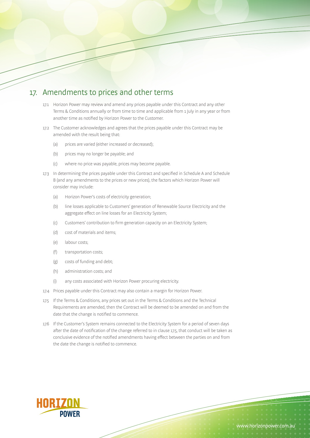#### 17. Amendments to prices and other terms

- 17.1 Horizon Power may review and amend any prices payable under this Contract and any other Terms & Conditions annually or from time to time and applicable from 1 July in any year or from another time as notified by Horizon Power to the Customer.
- 17.2 The Customer acknowledges and agrees that the prices payable under this Contract may be amended with the result being that:
	- (a) prices are varied (either increased or decreased);
	- (b) prices may no longer be payable; and
	- (c) where no price was payable, prices may become payable.
- 17.3 In determining the prices payable under this Contract and specified in Schedule A and Schedule B (and any amendments to the prices or new prices), the factors which Horizon Power will consider may include:
	- (a) Horizon Power's costs of electricity generation;
	- (b) line losses applicable to Customers' generation of Renewable Source Electricity and the aggregate effect on line losses for an Electricity System;
	- (c) Customers' contribution to firm generation capacity on an Electricity System;
	- (d) cost of materials and items;
	- (e) labour costs;
	- (f) transportation costs;
	- (g) costs of funding and debt;
	- (h) administration costs; and
	- (i) any costs associated with Horizon Power procuring electricity.
- 17.4 Prices payable under this Contract may also contain a margin for Horizon Power.
- 17.5 If the Terms & Conditions, any prices set out in the Terms & Conditions and the Technical Requirements are amended, then the Contract will be deemed to be amended on and from the date that the change is notified to commence.
- 17.6 If the Customer's System remains connected to the Electricity System for a period of seven days after the date of notification of the change referred to in clause 17.5, that conduct will be taken as conclusive evidence of the notified amendments having effect between the parties on and from the date the change is notified to commence.

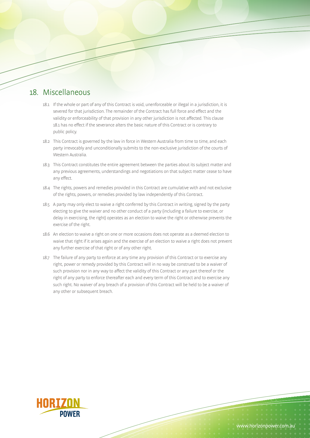#### 18. Miscellaneous

- 18.1 If the whole or part of any of this Contract is void, unenforceable or illegal in a jurisdiction, it is severed for that jurisdiction. The remainder of the Contract has full force and effect and the validity or enforceability of that provision in any other jurisdiction is not affected. This clause 18.1 has no effect if the severance alters the basic nature of this Contract or is contrary to public policy.
- 18.2 This Contract is governed by the law in force in Western Australia from time to time, and each party irrevocably and unconditionally submits to the non-exclusive jurisdiction of the courts of Western Australia.
- 18.3 This Contract constitutes the entire agreement between the parties about its subject matter and any previous agreements, understandings and negotiations on that subject matter cease to have any effect.
- 18.4 The rights, powers and remedies provided in this Contract are cumulative with and not exclusive of the rights, powers, or remedies provided by law independently of this Contract.
- 18.5 A party may only elect to waive a right conferred by this Contract in writing, signed by the party electing to give the waiver and no other conduct of a party (including a failure to exercise, or delay in exercising, the right) operates as an election to waive the right or otherwise prevents the exercise of the right.
- 18.6 An election to waive a right on one or more occasions does not operate as a deemed election to waive that right if it arises again and the exercise of an election to waive a right does not prevent any further exercise of that right or of any other right.
- 18.7 The failure of any party to enforce at any time any provision of this Contract or to exercise any right, power or remedy provided by this Contract will in no way be construed to be a waiver of such provision nor in any way to affect the validity of this Contract or any part thereof or the right of any party to enforce thereafter each and every term of this Contract and to exercise any such right. No waiver of any breach of a provision of this Contract will be held to be a waiver of any other or subsequent breach.

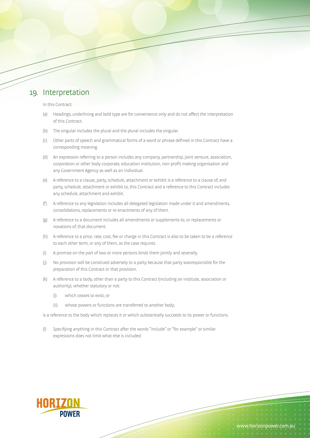#### 19. Interpretation

In this Contract:

- (a) Headings, underlining and bold type are for convenience only and do not affect the interpretation of this Contract.
- (b) The singular includes the plural and the plural includes the singular.
- (c) Other parts of speech and grammatical forms of a word or phrase defined in this Contract have a corresponding meaning.
- (d) An expression referring to a person includes any company, partnership, joint venture, association, corporation or other body corporate, education institution, non-profit making organisation and any Government Agency as well as an individual.
- (e) A reference to a clause, party, schedule, attachment or exhibit is a reference to a clause of, and party, schedule, attachment or exhibit to, this Contract and a reference to this Contract includes any schedule, attachment and exhibit.
- (f) A reference to any legislation includes all delegated legislation made under it and amendments, consolidations, replacements or re-enactments of any of them.
- (g) A reference to a document includes all amendments or supplements to, or replacements or novations of, that document.
- (h) A reference to a price, rate, cost, fee or charge in this Contract is also to be taken to be a reference to each other term, or any of them, as the case requires.
- (i) A promise on the part of two or more persons binds them jointly and severally.
- (j) No provision will be construed adversely to a party because that party wasresponsible for the preparation of this Contract or that provision.
- (k) A reference to a body, other than a party to this Contract (including an institute, association or authority), whether statutory or not:
	- (i) which ceases to exist; or
	- (ii) whose powers or functions are transferred to another body;

is a reference to the body which replaces it or which substantially succeeds to its power or functions.

(l) Specifying anything in this Contract after the words "include" or "for example" or similar expressions does not limit what else is included.